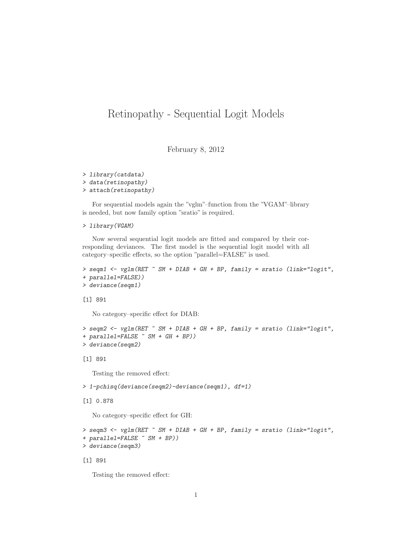## Retinopathy - Sequential Logit Models

February 8, 2012

```
> library(catdata)
```

```
> data(retinopathy)
```
*> attach(retinopathy)*

For sequential models again the "vglm"–function from the "VGAM"–library is needed, but now family option "sratio" is required.

## *> library(VGAM)*

Now several sequential logit models are fitted and compared by their corresponding deviances. The first model is the sequential logit model with all category–specific effects, so the option "parallel=FALSE" is used.

```
> seqm1 <- vglm(RET ~ SM + DIAB + GH + BP, family = sratio (link="logit",
+ parallel=FALSE))
```

```
> deviance(seqm1)
```
[1] 891

No category–specific effect for DIAB:

```
> seqm2 <- vglm(RET ~ SM + DIAB + GH + BP, family = sratio (link="logit",
+ parallel=FALSE ~ SM + GH + BP))
> deviance(seqm2)
```
[1] 891

Testing the removed effect:

```
> 1-pchisq(deviance(seqm2)-deviance(seqm1), df=1)
```
[1] 0.878

No category–specific effect for GH:

```
> seqm3 <- vglm(RET ~ SM + DIAB + GH + BP, family = sratio (link="logit",
+ parallel=FALSE ~ SM + BP))
> deviance(seqm3)
```
[1] 891

Testing the removed effect: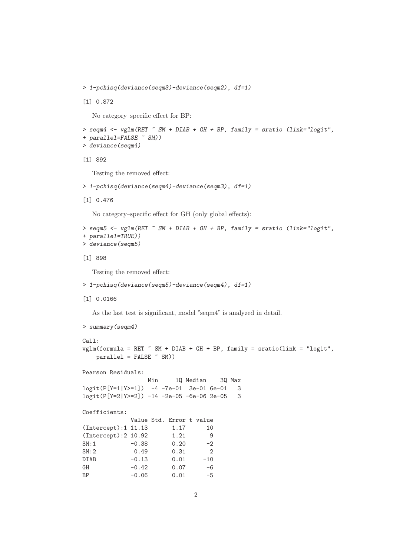*> 1-pchisq(deviance(seqm3)-deviance(seqm2), df=1)*

```
[1] 0.872
```
No category–specific effect for BP:

```
> seqm4 <- vglm(RET ~ SM + DIAB + GH + BP, family = sratio (link="logit",
+ parallel=FALSE ~ SM))
> deviance(seqm4)
```

```
[1] 892
```
Testing the removed effect:

```
> 1-pchisq(deviance(seqm4)-deviance(seqm3), df=1)
```
[1] 0.476

No category–specific effect for GH (only global effects):

```
> seqm5 <- vglm(RET ~ SM + DIAB + GH + BP, family = sratio (link="logit",
+ parallel=TRUE))
> deviance(seqm5)
```
[1] 898

Testing the removed effect:

```
> 1-pchisq(deviance(seqm5)-deviance(seqm4), df=1)
```
[1] 0.0166

As the last test is significant, model "seqm4" is analyzed in detail.

```
> summary(seqm4)
Ca11:vglm(formula = RET " SM + DIAB + GH + BP, family = sratio(link = "logit",parallel = FALSE ~ SM))
Pearson Residuals:
              Min 1Q Median 3Q Max
logit(P[Y=1|Y>=1]) -4 -7e-01 3e-01 6e-01 3
logit(P[Y=2|Y>=2]) -14 -2e-05 -6e-06 2e-05 3
Coefficients:
          Value Std. Error t value
(Intercept):1 11.13 1.17 10
(Intercept):2 10.92 1.21 9
SM:1 -0.38 0.20 -2
SM: 2 0.49 0.31 2
DIAB -0.13 0.01 -10
GH -0.42 0.07 -6
BP -0.06 0.01 -5
```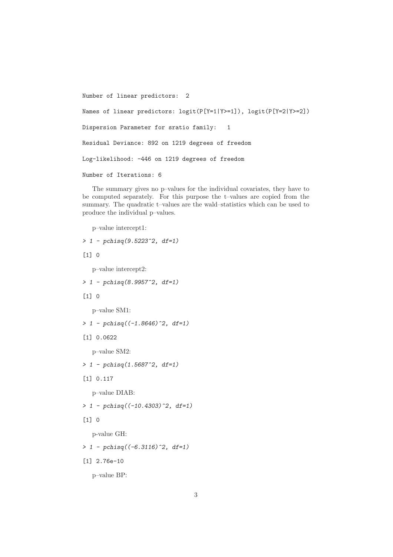Number of linear predictors: 2

```
Names of linear predictors: logit(P[Y=1|Y>=1]), logit(P[Y=2|Y>=2])
Dispersion Parameter for sratio family: 1
Residual Deviance: 892 on 1219 degrees of freedom
Log-likelihood: -446 on 1219 degrees of freedom
Number of Iterations: 6
```
The summary gives no p–values for the individual covariates, they have to be computed separately. For this purpose the t–values are copied from the summary. The quadratic t–values are the wald–statistics which can be used to produce the individual p–values.

p–value intercept1:

*> 1 - pchisq(9.5223^2, df=1)*

 $\lceil 1 \rceil$  0

p–value intercept2:

*> 1 - pchisq(8.9957^2, df=1)*

 $[1] 0$ 

p–value SM1:

*> 1 - pchisq((-1.8646)^2, df=1)*

[1] 0.0622

p–value SM2:

*> 1 - pchisq(1.5687^2, df=1)*

[1] 0.117

p–value DIAB:

*> 1 - pchisq((-10.4303)^2, df=1)*

 $\lceil 1 \rceil$  0

p-value GH:

```
> 1 - pchisq((-6.3116)^2, df=1)
```
[1] 2.76e-10

p–value BP: